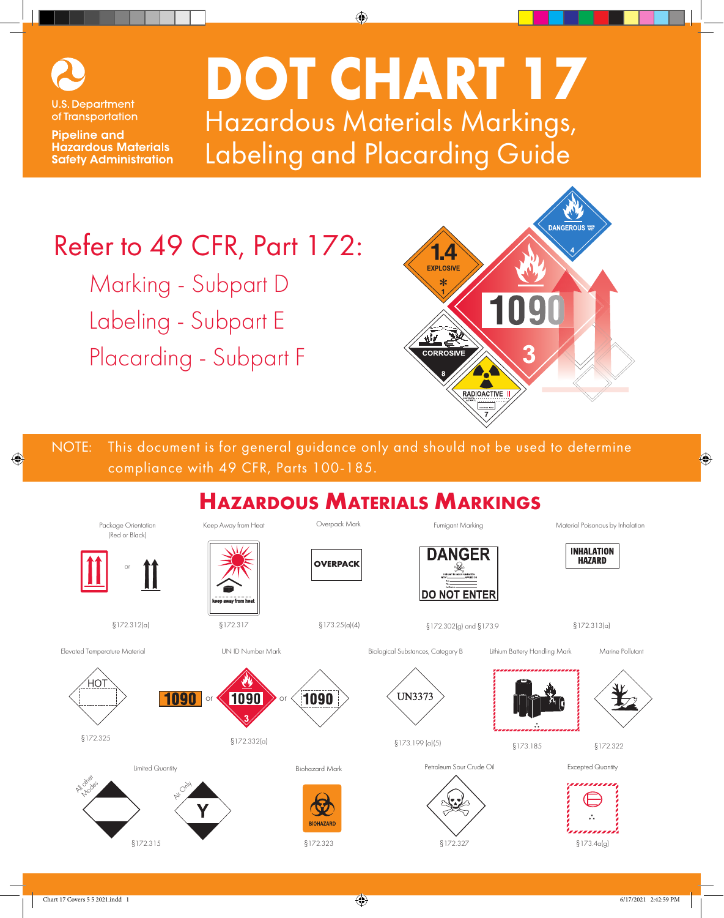

of Transportation

**Pipeline and Hazardous Materials Safety Administration** 

**DOT CHART 17** Hazardous Materials Markings, Labeling and Placarding Guide

## Refer to 49 CFR, Part 172:

Marking - Subpart D Labeling - Subpart E Placarding - Subpart F



NOTE: This document is for general guidance only and should not be used to determine compliance with 49 CFR, Parts 100-185.

#### **Hazardous Materials Markings** Package Orientation Keep Away from Heat Overpack Mark Material Poisonous by Inhalation Fumigant Marking (Red or Black) **INHALATION DANGER HAZARD OVERPACK** or **DO NOT ENTER** §172.312(a) §172.317 §173.25(a)(4) §172.302(g) and §173.9 §172.313(a) Elevated Temperature Material UN ID Number Mark Biological Substances, Category B Lithium Battery Handling Mark Marine Pollutant HO.  $1090$  or  $\leqslant$  1090  $>$  or 1090 **UN3373**  $\S 172.332(a)$   $\S 172.332(a)$   $\S 173.199(a)(5)$ §173.185 §172.322 Petroleum Sour Crude Oil Excepted Quantity Limited Quantity Biohazard Mark All other Modes Air Only **BIOHAZARI** §172.315 §172.323 §172.327 §173.4a(g)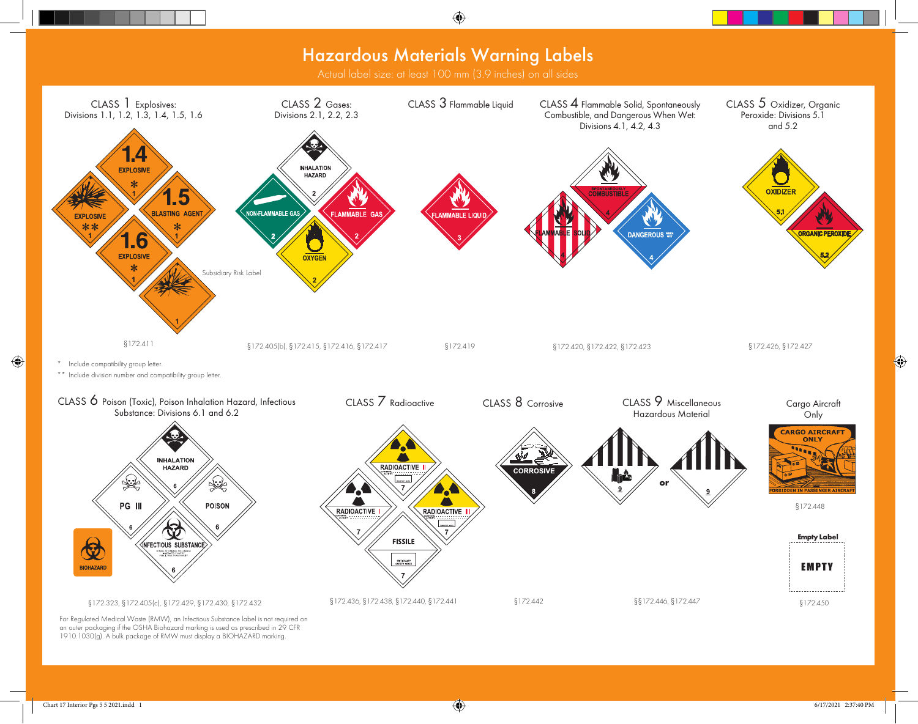## Hazardous Materials Warning Labels

Actual label size: at least 100 mm (3.9 inches) on all sides



For Regulated Medical Waste (RMW), an Infectious Substance label is not required on an outer packaging if the OSHA Biohazard marking is used as prescribed in 29 CFR 1910.1030(g). A bulk package of RMW must display a BIOHAZARD marking.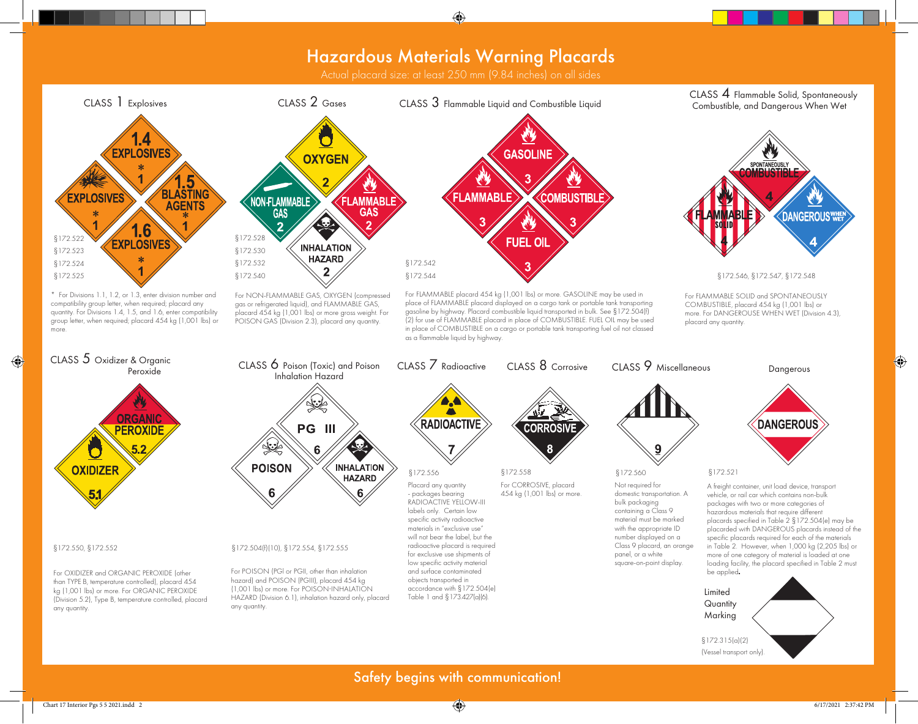### Hazardous Materials Warning Placards

Actual placard size: at least 250 mm (9.84 inches) on all sides



(Vessel transport only).